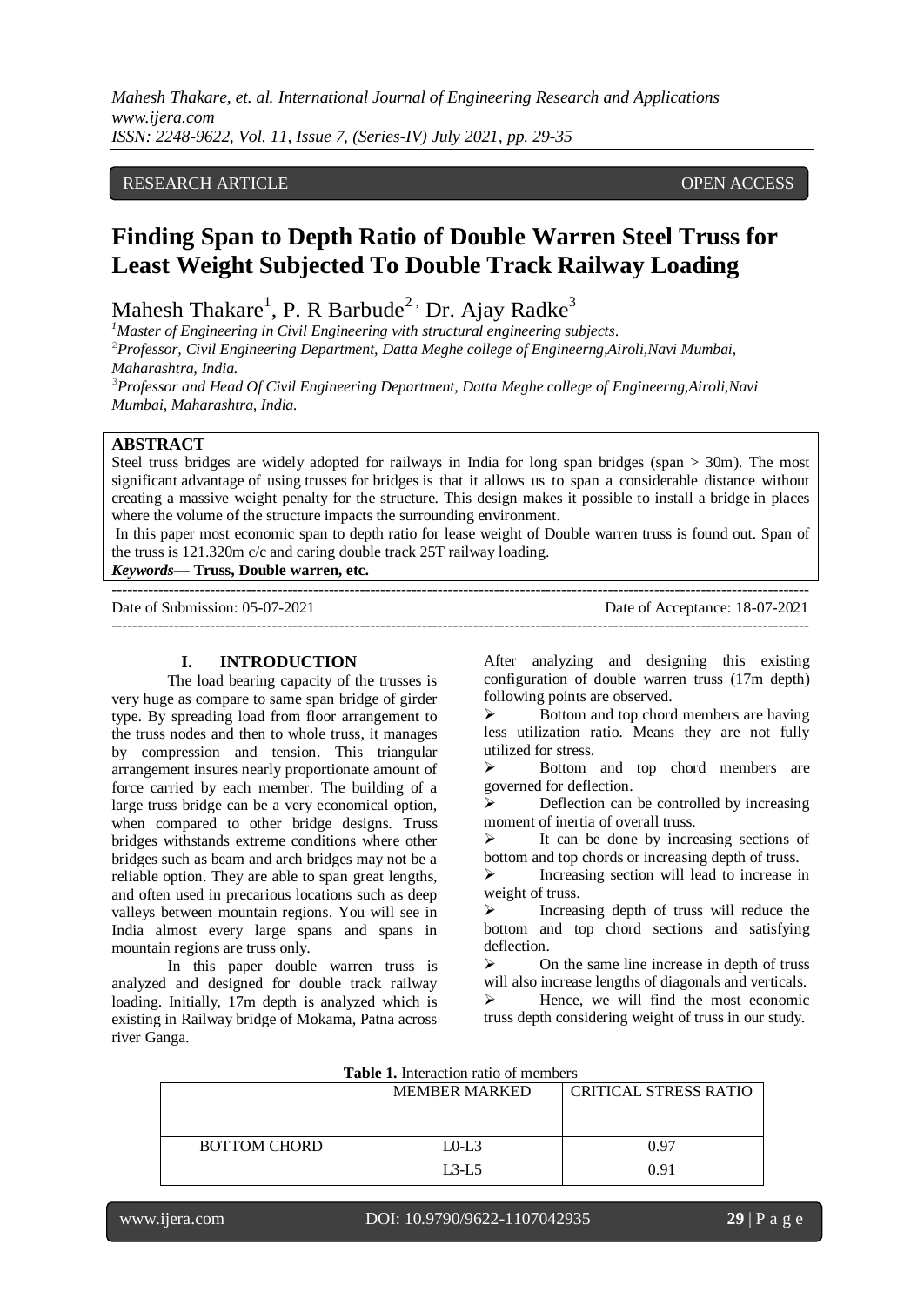# RESEARCH ARTICLE **CONSERVERS** OPEN ACCESS

# **Finding Span to Depth Ratio of Double Warren Steel Truss for Least Weight Subjected To Double Track Railway Loading**

Mahesh Thakare<sup>1</sup>, P. R Barbude<sup>2,</sup> Dr. Ajay Radke<sup>3</sup>

*<sup>1</sup>Master of Engineering in Civil Engineering with structural engineering subjects.* <sup>2</sup>*Professor, Civil Engineering Department, Datta Meghe college of Engineerng,Airoli,Navi Mumbai,* 

*Maharashtra, India.*

<sup>3</sup>*Professor and Head Of Civil Engineering Department, Datta Meghe college of Engineerng,Airoli,Navi Mumbai, Maharashtra, India.*

# **ABSTRACT**

Steel truss bridges are widely adopted for railways in India for long span bridges (span > 30m). The most significant advantage of using trusses for bridges is that it allows us to span a considerable distance without creating a massive weight penalty for the structure. This design makes it possible to install a bridge in places where the volume of the structure impacts the surrounding environment.

In this paper most economic span to depth ratio for lease weight of Double warren truss is found out. Span of the truss is 121.320m c/c and caring double track 25T railway loading.

*Keywords***— Truss, Double warren, etc.** 

---------------------------------------------------------------------------------------------------------------------------------------

Date of Submission: 05-07-2021 Date of Acceptance: 18-07-2021

---------------------------------------------------------------------------------------------------------------------------------------

## **I. INTRODUCTION**

The load bearing capacity of the trusses is very huge as compare to same span bridge of girder type. By spreading load from floor arrangement to the truss nodes and then to whole truss, it manages by compression and tension. This triangular arrangement insures nearly proportionate amount of force carried by each member. The building of a large truss bridge can be a very economical option, when compared to other bridge designs. Truss bridges withstands extreme conditions where other bridges such as beam and arch bridges may not be a reliable option. They are able to span great lengths, and often used in precarious locations such as deep valleys between mountain regions. You will see in India almost every large spans and spans in mountain regions are truss only.

In this paper double warren truss is analyzed and designed for double track railway loading. Initially, 17m depth is analyzed which is existing in Railway bridge of Mokama, Patna across river Ganga.

After analyzing and designing this existing configuration of double warren truss (17m depth) following points are observed.

 $\triangleright$  Bottom and top chord members are having less utilization ratio. Means they are not fully utilized for stress.

 Bottom and top chord members are governed for deflection.

 $\triangleright$  Deflection can be controlled by increasing moment of inertia of overall truss.

 $\triangleright$  It can be done by increasing sections of bottom and top chords or increasing depth of truss.

 $\triangleright$  Increasing section will lead to increase in weight of truss.

 $\triangleright$  Increasing depth of truss will reduce the bottom and top chord sections and satisfying deflection.

 $\triangleright$  On the same line increase in depth of truss will also increase lengths of diagonals and verticals.

 $\triangleright$  Hence, we will find the most economic truss depth considering weight of truss in our study.

| <b>Table 1.</b> Interaction ratio or inclified s |                      |                              |  |
|--------------------------------------------------|----------------------|------------------------------|--|
|                                                  | <b>MEMBER MARKED</b> | <b>CRITICAL STRESS RATIO</b> |  |
| <b>BOTTOM CHORD</b>                              | $LO-L3$              | 0.97                         |  |
|                                                  | $L3-L5$              | በ 91                         |  |

**Table 1.** Interaction ratio of members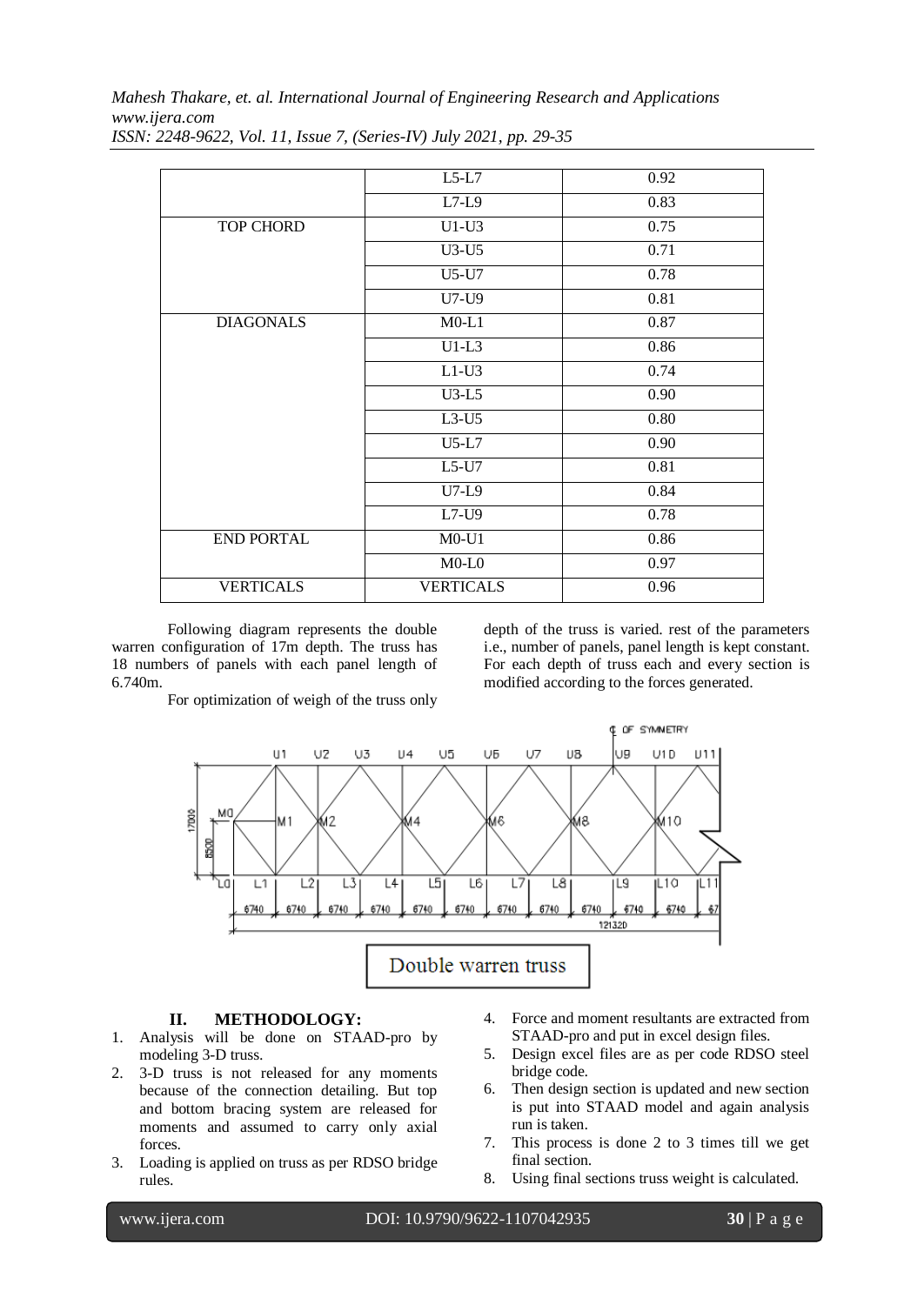*Mahesh Thakare, et. al. International Journal of Engineering Research and Applications www.ijera.com*

|                   | $L5-L7$          | 0.92 |
|-------------------|------------------|------|
|                   | $L7-L9$          | 0.83 |
| <b>TOP CHORD</b>  | $U1-U3$          | 0.75 |
|                   | $U3-U5$          | 0.71 |
|                   | U5-U7            | 0.78 |
|                   | U7-U9            | 0.81 |
| <b>DIAGONALS</b>  | $M0-L1$          | 0.87 |
|                   | $U1-L3$          | 0.86 |
|                   | $L1-U3$          | 0.74 |
|                   | $U3-L5$          | 0.90 |
|                   | $L3-U5$          | 0.80 |
|                   | $U5-L7$          | 0.90 |
|                   | $L5-U7$          | 0.81 |
|                   | $U7-L9$          | 0.84 |
|                   | L7-U9            | 0.78 |
| <b>END PORTAL</b> | $M0-U1$          | 0.86 |
|                   | $M0-L0$          | 0.97 |
| <b>VERTICALS</b>  | <b>VERTICALS</b> | 0.96 |

*ISSN: 2248-9622, Vol. 11, Issue 7, (Series-IV) July 2021, pp. 29-35*

Following diagram represents the double warren configuration of 17m depth. The truss has 18 numbers of panels with each panel length of 6.740m.

depth of the truss is varied. rest of the parameters i.e., number of panels, panel length is kept constant. For each depth of truss each and every section is modified according to the forces generated.

For optimization of weigh of the truss only



#### **II. METHODOLOGY:**

- 1. Analysis will be done on STAAD-pro by modeling 3-D truss.
- 2. 3-D truss is not released for any moments because of the connection detailing. But top and bottom bracing system are released for moments and assumed to carry only axial forces.
- 3. Loading is applied on truss as per RDSO bridge rules.
- 4. Force and moment resultants are extracted from STAAD-pro and put in excel design files.
- 5. Design excel files are as per code RDSO steel bridge code.
- 6. Then design section is updated and new section is put into STAAD model and again analysis run is taken.
- 7. This process is done 2 to 3 times till we get final section.
- 8. Using final sections truss weight is calculated.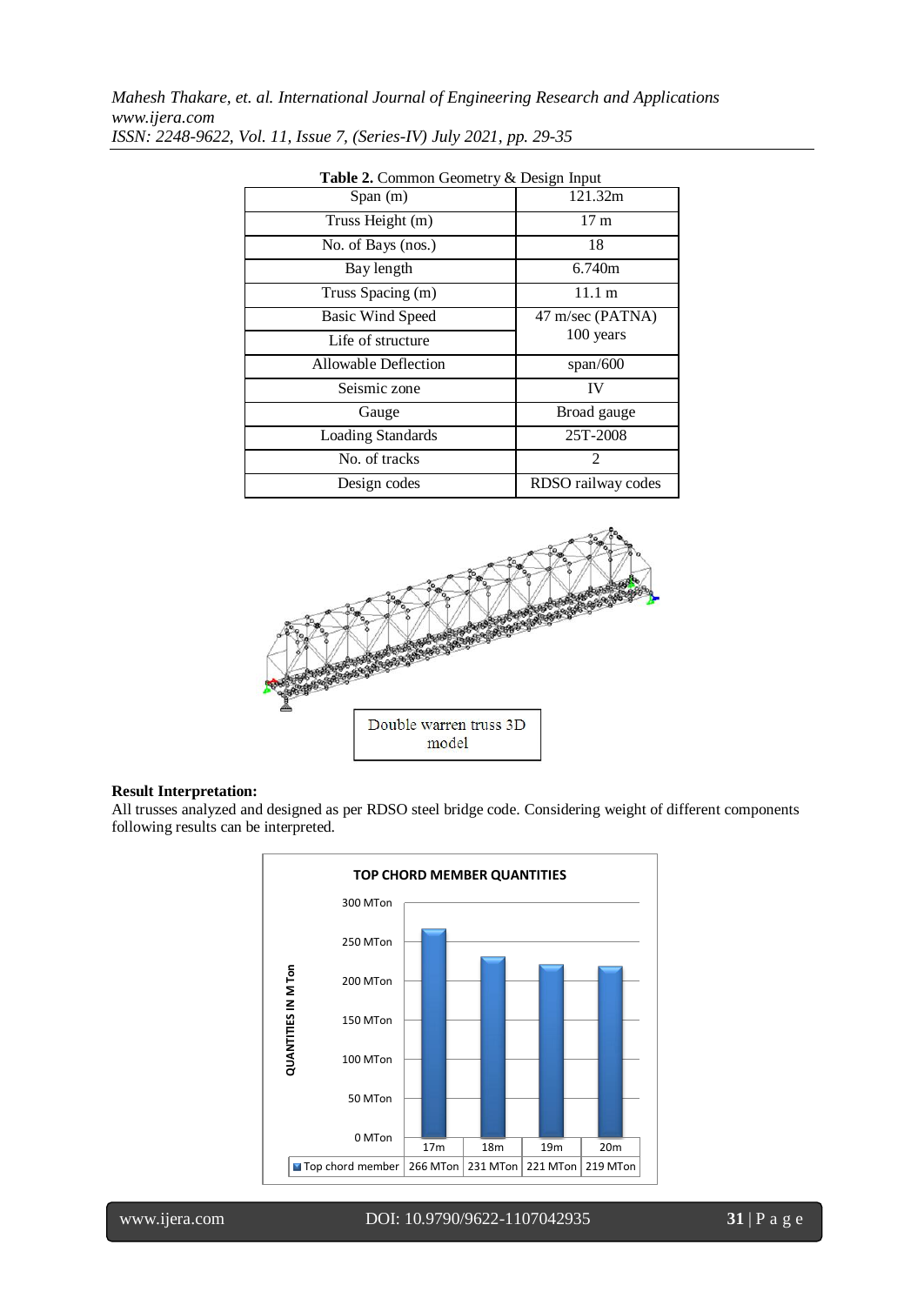| <b>radic 2.</b> Common Ocomou y $\alpha$ Design input |                    |  |
|-------------------------------------------------------|--------------------|--|
| Span(m)                                               | 121.32m            |  |
| Truss Height (m)                                      | 17 <sub>m</sub>    |  |
| No. of Bays (nos.)                                    | 18                 |  |
| Bay length                                            | 6.740m             |  |
| Truss Spacing (m)                                     | 11.1 m             |  |
| <b>Basic Wind Speed</b>                               | 47 m/sec (PATNA)   |  |
| Life of structure                                     | 100 years          |  |
| <b>Allowable Deflection</b>                           | span/600           |  |
| Seismic zone                                          | IV                 |  |
| Gauge                                                 | Broad gauge        |  |
| <b>Loading Standards</b>                              | 25T-2008           |  |
| No. of tracks                                         | 2                  |  |
| Design codes                                          | RDSO railway codes |  |

**Table 2.** Common Geometry & Design Input



#### **Result Interpretation:**

All trusses analyzed and designed as per RDSO steel bridge code. Considering weight of different components following results can be interpreted.

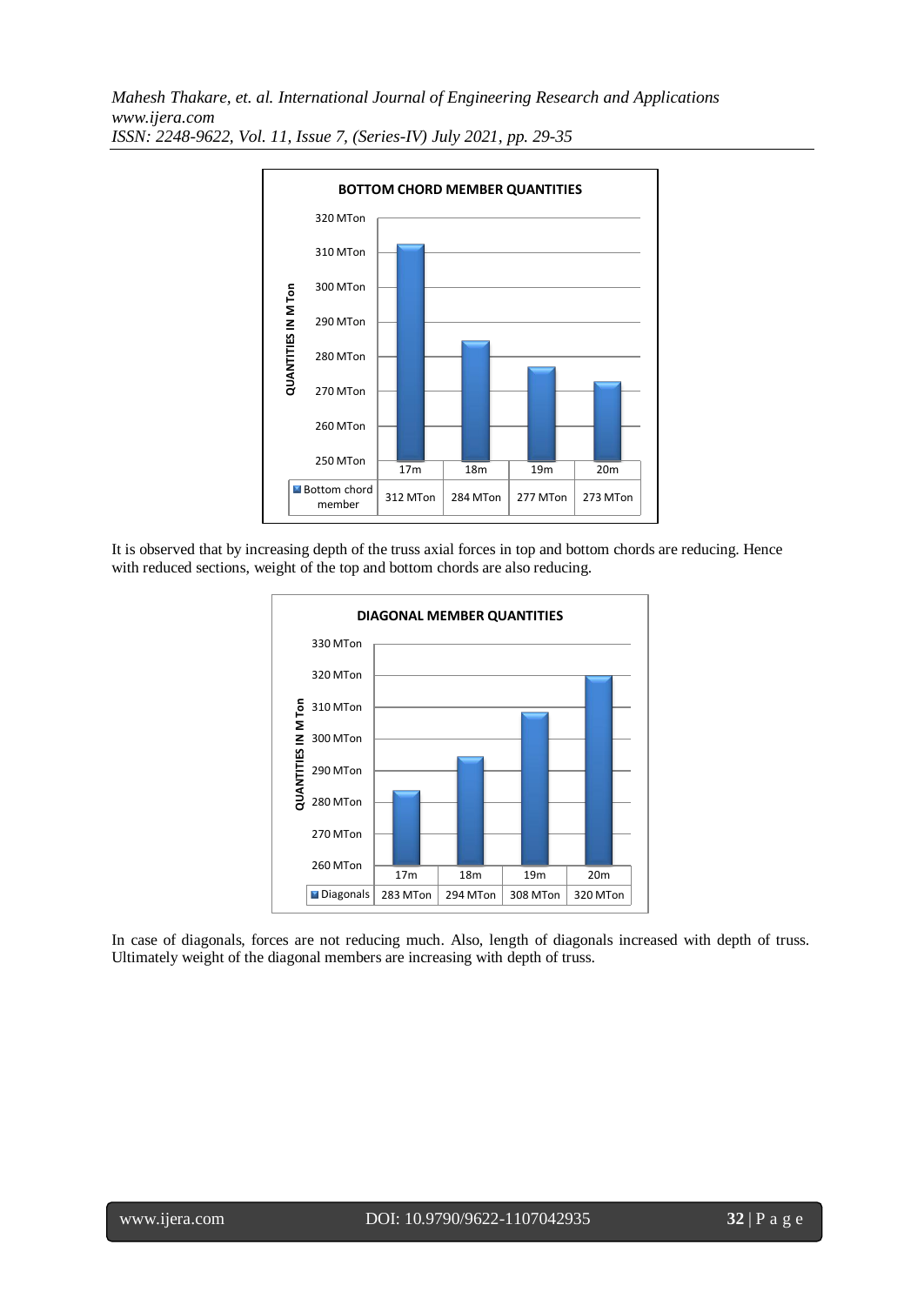

It is observed that by increasing depth of the truss axial forces in top and bottom chords are reducing. Hence with reduced sections, weight of the top and bottom chords are also reducing.



In case of diagonals, forces are not reducing much. Also, length of diagonals increased with depth of truss. Ultimately weight of the diagonal members are increasing with depth of truss.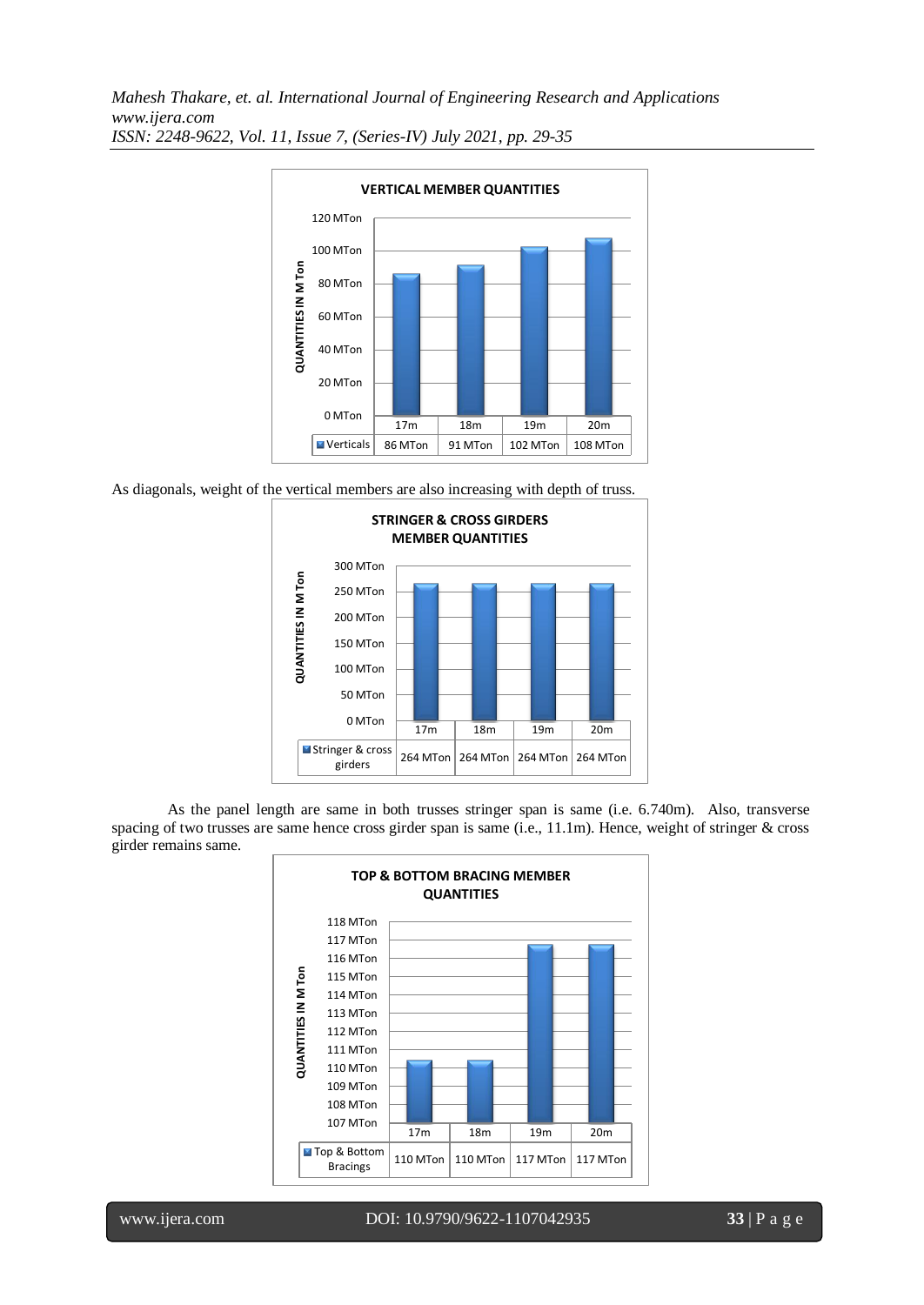

As diagonals, weight of the vertical members are also increasing with depth of truss.



As the panel length are same in both trusses stringer span is same (i.e. 6.740m). Also, transverse spacing of two trusses are same hence cross girder span is same (i.e., 11.1m). Hence, weight of stringer & cross girder remains same.

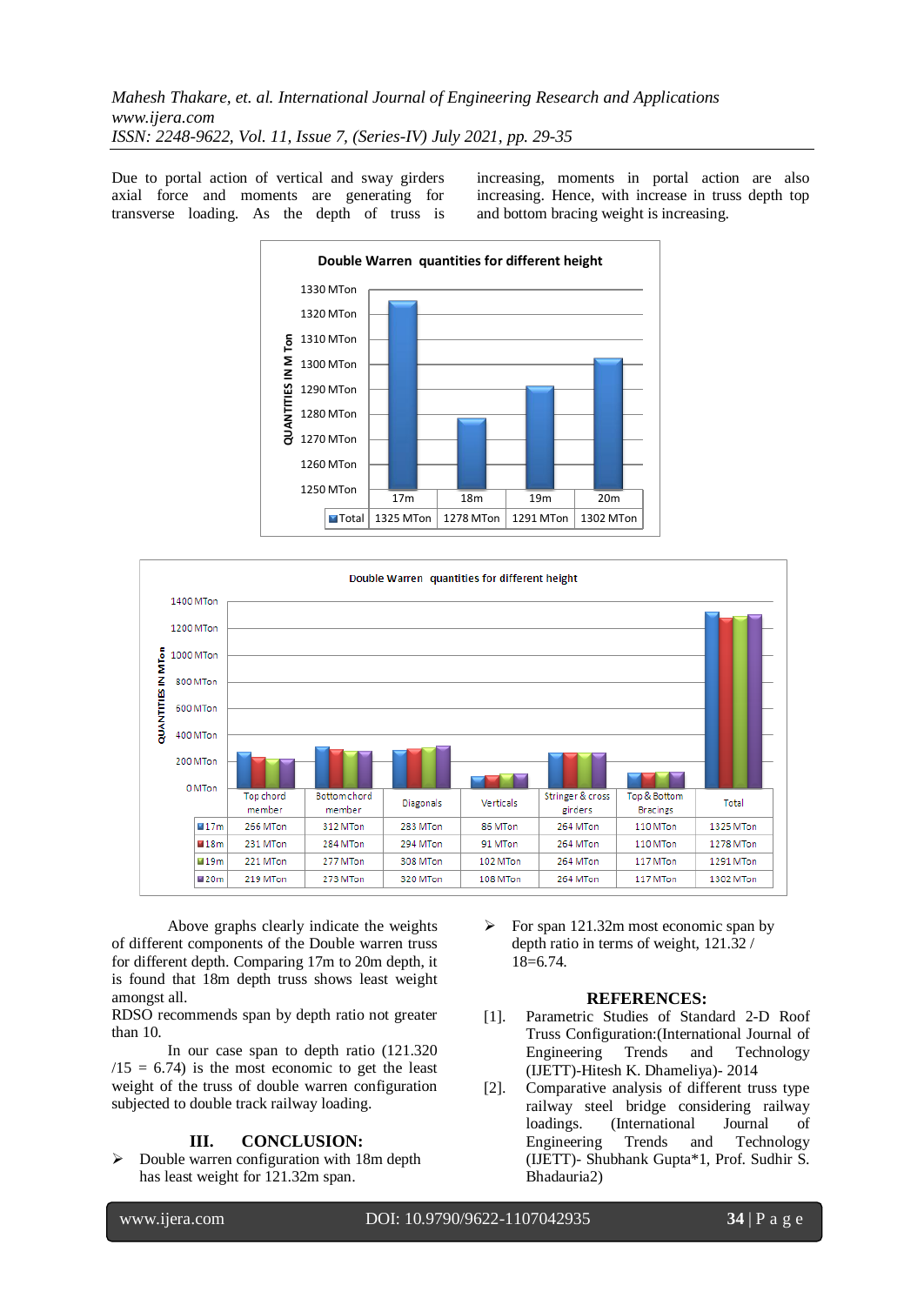Due to portal action of vertical and sway girders axial force and moments are generating for transverse loading. As the depth of truss is increasing, moments in portal action are also increasing. Hence, with increase in truss depth top and bottom bracing weight is increasing.





Above graphs clearly indicate the weights of different components of the Double warren truss for different depth. Comparing 17m to 20m depth, it is found that 18m depth truss shows least weight amongst all.

RDSO recommends span by depth ratio not greater than 10.

In our case span to depth ratio (121.320  $/15 = 6.74$ ) is the most economic to get the least weight of the truss of double warren configuration subjected to double track railway loading.

## **III. CONCLUSION:**

 $\triangleright$  Double warren configuration with 18m depth has least weight for 121.32m span.

 $\triangleright$  For span 121.32m most economic span by depth ratio in terms of weight, 121.32 / 18=6.74.

#### **REFERENCES:**

- [1]. Parametric Studies of Standard 2-D Roof Truss Configuration:(International Journal of Engineering Trends and Technology (IJETT)-Hitesh K. Dhameliya)- 2014
- [2]. Comparative analysis of different truss type railway steel bridge considering railway loadings. (International Journal of Engineering Trends and Technology (IJETT)- Shubhank Gupta\*1, Prof. Sudhir S. Bhadauria2)